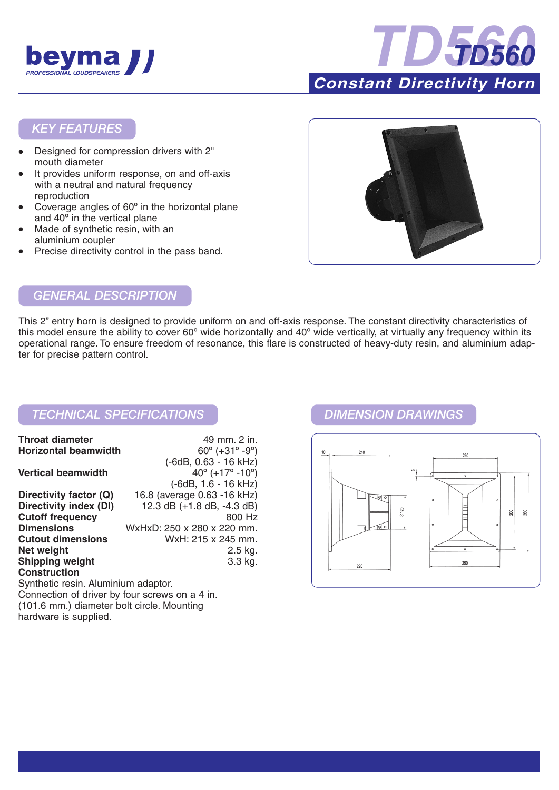



## *KEY FEATURES*

- Designed for compression drivers with 2" mouth diameter
- It provides uniform response, on and off-axis with a neutral and natural frequency reproduction
- Coverage angles of  $60^\circ$  in the horizontal plane and 40º in the vertical plane
- Made of synthetic resin, with an aluminium coupler
- Precise directivity control in the pass band.



# *GENERAL DESCRIPTION*

This 2" entry horn is designed to provide uniform on and off-axis response. The constant directivity characteristics of this model ensure the ability to cover 60º wide horizontally and 40º wide vertically, at virtually any frequency within its operational range. To ensure freedom of resonance, this flare is constructed of heavy-duty resin, and aluminium adapter for precise pattern control.

## *TECHNICAL SPECIFICATIONS DIMENSION DRAWINGS*

| <b>Throat diameter</b>              | 49 mm. 2 in.                                  |
|-------------------------------------|-----------------------------------------------|
| <b>Horizontal beamwidth</b>         | $60^{\circ}$ (+31 $^{\circ}$ -9 $^{\circ}$ )  |
|                                     | (-6dB, 0.63 - 16 kHz)                         |
| <b>Vertical beamwidth</b>           | $40^{\circ}$ (+17 $^{\circ}$ -10 $^{\circ}$ ) |
|                                     | (-6dB, 1.6 - 16 kHz)                          |
| Directivity factor (Q)              | 16.8 (average 0.63 - 16 kHz)                  |
| Directivity index (DI)              | 12.3 dB $(+1.8$ dB, $-4.3$ dB)                |
| <b>Cutoff frequency</b>             | 800 Hz                                        |
| <b>Dimensions</b>                   | WxHxD: 250 x 280 x 220 mm.                    |
| <b>Cutout dimensions</b>            | WxH: 215 x 245 mm.                            |
| Net weight                          | 2.5 kg.                                       |
| <b>Shipping weight</b>              | 3.3 kg.                                       |
| <b>Construction</b>                 |                                               |
| Synthetic resin. Aluminium adaptor. |                                               |

Connection of driver by four screws on a 4 in. (101.6 mm.) diameter bolt circle. Mounting hardware is supplied.